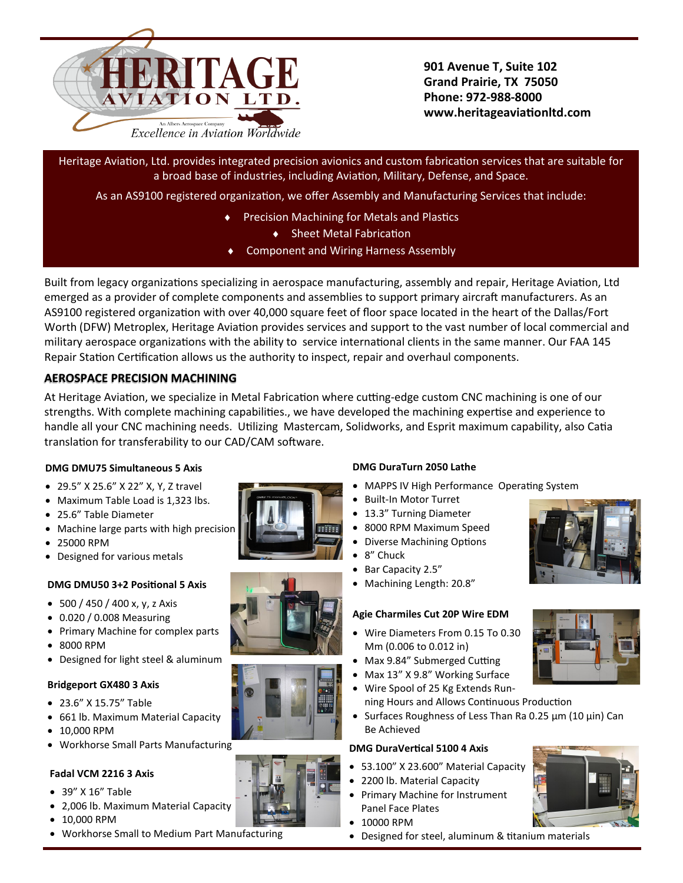

**901 Avenue T, Suite 102 Grand Prairie, TX 75050 Phone: 972-988-8000 www.heritageaviationltd.com**

Heritage Aviation, Ltd. provides integrated precision avionics and custom fabrication services that are suitable for a broad base of industries, including Aviation, Military, Defense, and Space.

As an AS9100 registered organization, we offer Assembly and Manufacturing Services that include:

- Precision Machining for Metals and Plastics
	- ◆ Sheet Metal Fabrication
- Component and Wiring Harness Assembly

Built from legacy organizations specializing in aerospace manufacturing, assembly and repair, Heritage Aviation, Ltd emerged as a provider of complete components and assemblies to support primary aircraft manufacturers. As an AS9100 registered organization with over 40,000 square feet of floor space located in the heart of the Dallas/Fort Worth (DFW) Metroplex, Heritage Aviation provides services and support to the vast number of local commercial and military aerospace organizations with the ability to service international clients in the same manner. Our FAA 145 Repair Station Certification allows us the authority to inspect, repair and overhaul components.

# **AEROSPACE PRECISION MACHINING**

At Heritage Aviation, we specialize in Metal Fabrication where cutting-edge custom CNC machining is one of our strengths. With complete machining capabilities., we have developed the machining expertise and experience to handle all your CNC machining needs. Utilizing Mastercam, Solidworks, and Esprit maximum capability, also Catia translation for transferability to our CAD/CAM software.

## **DMG DMU75 Simultaneous 5 Axis**

- 29.5" X 25.6" X 22" X, Y, Z travel
- Maximum Table Load is 1,323 lbs.
- 25.6" Table Diameter
- Machine large parts with high precision
- 25000 RPM
- Designed for various metals

# **DMG DMU50 3+2 Positional 5 Axis**

- 500 / 450 / 400 x, y, z Axis
- 0.020 / 0.008 Measuring
- Primary Machine for complex parts
- 8000 RPM
- Designed for light steel & aluminum

## **Bridgeport GX480 3 Axis**

- 23.6" X 15.75" Table
- 661 lb. Maximum Material Capacity
- 10,000 RPM
- Workhorse Small Parts Manufacturing

## **Fadal VCM 2216 3 Axis**

- 39" X 16" Table
- 2,006 lb. Maximum Material Capacity
- 10,000 RPM
- Workhorse Small to Medium Part Manufacturing

# **DMG DuraTurn 2050 Lathe**

- MAPPS IV High Performance Operating System
- Built-In Motor Turret
- 13.3" Turning Diameter
- 8000 RPM Maximum Speed
- Diverse Machining Options
- 8" Chuck
- Bar Capacity 2.5"
- Machining Length: 20.8"

## **Agie Charmiles Cut 20P Wire EDM**

- Wire Diameters From 0.15 To 0.30 Mm (0.006 to 0.012 in)
- Max 9.84" Submerged Cutting
- Max 13" X 9.8" Working Surface
- Wire Spool of 25 Kg Extends Running Hours and Allows Continuous Production
- Surfaces Roughness of Less Than Ra 0.25 μm (10 μin) Can Be Achieved

## **DMG DuraVertical 5100 4 Axis**

- 53.100" X 23.600" Material Capacity
- 2200 lb. Material Capacity
- Primary Machine for Instrument Panel Face Plates
- 10000 RPM
- Designed for steel, aluminum & titanium materials